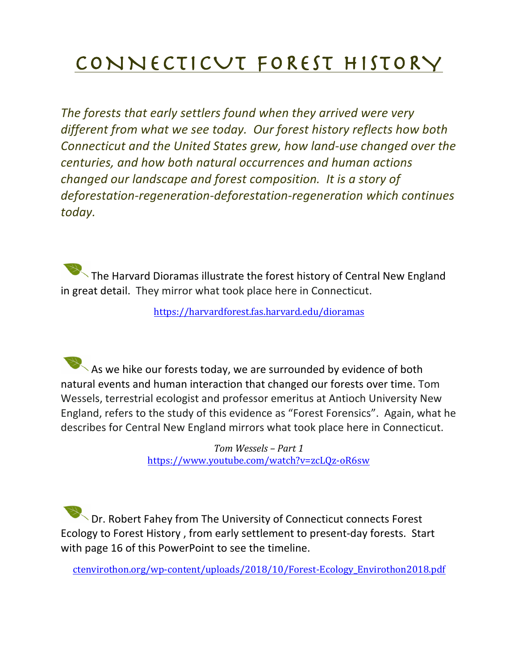## CONNECTICUT FOREST HISTORY

The forests that early settlers found when they arrived were very different from what we see today. Our forest history reflects how both *Connecticut and the United States grew, how land-use changed over the centuries, and how both natural occurrences and human actions changed our landscape and forest composition. It is a story of* deforestation-regeneration-deforestation-regeneration which continues *today.*

 $\overline{\phantom{a}}$  The Harvard Dioramas illustrate the forest history of Central New England in great detail. They mirror what took place here in Connecticut.

https://harvardforest.fas.harvard.edu/dioramas

 $\blacktriangleright$  As we hike our forests today, we are surrounded by evidence of both natural events and human interaction that changed our forests over time. Tom Wessels, terrestrial ecologist and professor emeritus at Antioch University New England, refers to the study of this evidence as "Forest Forensics". Again, what he describes for Central New England mirrors what took place here in Connecticut.

> *Tom Wessels – Part 1* https://www.youtube.com/watch?v=zcLQz-oR6sw

 $\sqrt{D}$  Dr. Robert Fahey from The University of Connecticut connects Forest Ecology to Forest History, from early settlement to present-day forests. Start with page 16 of this PowerPoint to see the timeline.

ctenvirothon.org/wp-content/uploads/2018/10/Forest-Ecology\_Envirothon2018.pdf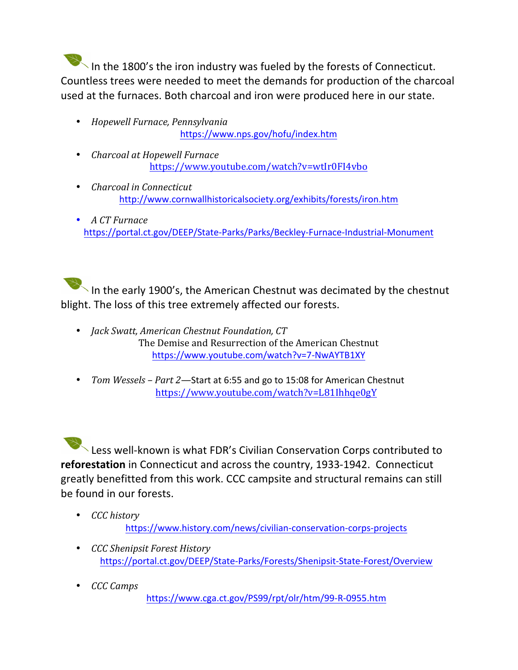In the 1800's the iron industry was fueled by the forests of Connecticut. Countless trees were needed to meet the demands for production of the charcoal used at the furnaces. Both charcoal and iron were produced here in our state.

- *Hopewell Furnace, Pennsylvania*  https://www.nps.gov/hofu/index.htm
- *Charcoal at Hopewell Furnace* https://www.youtube.com/watch?v=wtIr0FI4vbo
- *Charcoal in Connecticut* http://www.cornwallhistoricalsociety.org/exhibits/forests/iron.htm
- *A CT Furnace* https://portal.ct.gov/DEEP/State-Parks/Parks/Beckley-Furnace-Industrial-Monument

In the early 1900's, the American Chestnut was decimated by the chestnut blight. The loss of this tree extremely affected our forests.

- *Jack Swatt, American Chestnut Foundation, CT* The Demise and Resurrection of the American Chestnut https://www.youtube.com/watch?v=7-NwAYTB1XY
- *Tom Wessels Part 2*—Start at 6:55 and go to 15:08 for American Chestnut https://www.youtube.com/watch?v=L81Ihhqe0gY

Less well-known is what FDR's Civilian Conservation Corps contributed to **reforestation** in Connecticut and across the country, 1933-1942. Connecticut greatly benefitted from this work. CCC campsite and structural remains can still be found in our forests.

- *CCC history* https://www.history.com/news/civilian-conservation-corps-projects
- *CCC Shenipsit Forest History* https://portal.ct.gov/DEEP/State-Parks/Forests/Shenipsit-State-Forest/Overview
- *CCC Camps*  https://www.cga.ct.gov/PS99/rpt/olr/htm/99-R-0955.htm